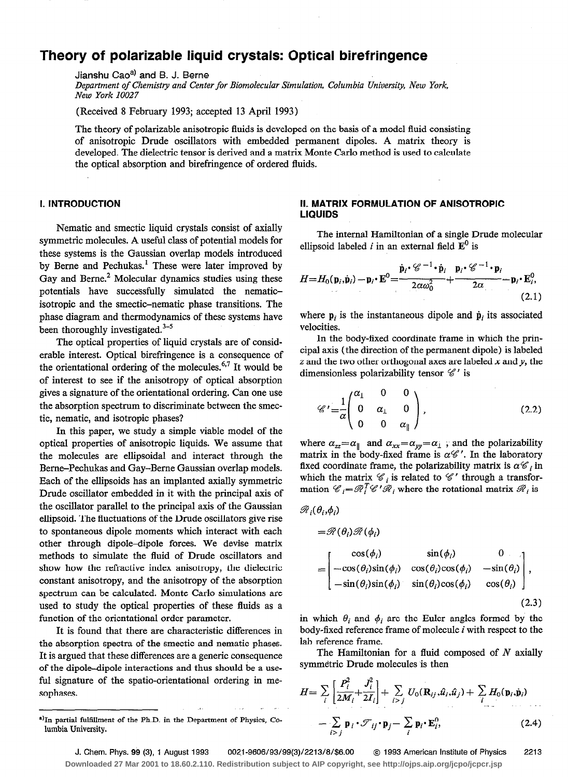# Theory of polarizable liquid crystals: Optical birefringence

Jianshu Cao<sup>a)</sup> and B. J. Berne

Department of Chemistry and Center for Biomolecular Simulation, Columbia University, New York, New York I0027

(Received 8 February 1993; accepted 13 April 1993)

The theory of polarizable anisotropic fluids is developed on the basis of a model fluid consisting of anisotropic Drude oscillators with embedded permanent dipoles. A matrix theory is developed. The dielectric tensor is derived and a matrix Monte Carlo method is used to calculate the optical absorption and birefringence of ordered fluids.

Nematic and smectic liquid crystals consist of axially symmetric molecules. A useful class of potential models for these systems is the Gaussian overlap models introduced by Berne and Pechukas.<sup>1</sup> These were later improved by Gay and Berne.<sup>2</sup> Molecular dynamics studies using these potentials have successfully simulated the nematicisotropic and the smectic-nematic phase transitions. The phase diagram and thermodynamics of these systems have been thoroughly investigated. $3-5$ 

The optical properties of liquid crystals are of considerable interest. Optical birefringence is a consequence of the orientational ordering of the molecules.<sup>6,7</sup> It would be of interest to see if the anisotropy of optical absorption gives a signature of the orientational ordering. Can one use the absorption spectrum to discriminate between the smectic, nematic, and isotropic phases?

In this paper, we study a simple viable model of the optical properties of anisotropic liquids. We assume that the molecules are ellipsoidal and interact through the Beme-Pechukas and Gay-Beme Gaussian overlap models. Each of the ellipsoids has an implanted axially symmetric Drude oscillator embedded in it with the principal axis of the oscillator parallel to the principal axis of the Gaussian ellipsoid. The fluctuations of the Drude oscillators give rise to spontaneous dipole moments which interact with each other through dipole-dipole forces. We devise matrix methods to simulate the fluid of Drude oscillators and show how the refractive index anisotropy, the dielectric constant anisotropy, and the anisotropy of the absorption spectrum can be calculated. Monte Carlo simulations are used to study the optical properties of these fluids as a function of the orientational order parameter.

It is found that there are characteristic differences in the absorption spectra of the smectic and nematic phases. It is argued that these differences are a generic consequence of the dipole-dipole interactions and thus should be a useful signature of the spatio-orientational ordering in mesophases.

# I. INTRODUCTION II. MATRIX FORMULATION OF ANISOTROPIC LIQUIDS

The internal Hamiltonian of a single Drude molecular ellipsoid labeled i in an external field  $\mathbf{E}^0$  is

$$
H=H_0(\mathbf{p}_i,\dot{\mathbf{p}}_i)-\mathbf{p}_i\cdot\mathbf{E}^0=\frac{\dot{\mathbf{p}}_i\cdot\mathscr{C}^{-1}\cdot\dot{\mathbf{p}}_i}{2\alpha\omega_0^2}+\frac{\mathbf{p}_i\cdot\mathscr{C}^{-1}\cdot\mathbf{p}_i}{2\alpha}-\mathbf{p}_i\cdot\mathbf{E}_i^0,
$$
\n(2.1)

where  $p_i$  is the instantaneous dipole and  $\dot{p}_i$  its associated velocities.

In the body-fixed coordinate frame in which the principal axis (the direction of the permanent dipole) is labeled  $z$  and the two other orthogonal axes are labeled  $x$  and  $y$ , the dimensionless polarizability tensor  $\mathscr{C}'$  is

$$
\mathscr{C}' = \frac{1}{\alpha} \begin{pmatrix} \alpha_1 & 0 & 0 \\ 0 & \alpha_1 & 0 \\ 0 & 0 & \alpha_{\parallel} \end{pmatrix},
$$
 (2.2)

where  $\alpha_{zz} = \alpha_{\parallel}$  and  $\alpha_{xx} = \alpha_{yy} = \alpha_{\perp}$ , and the polarizability matrix in the body-fixed frame is  $\alpha \mathcal{C}'$ . In the laboratory fixed coordinate frame, the polarizability matrix is  $\alpha \mathcal{C}_i$  in which the matrix  $\mathcal{C}_i$  is related to  $\mathcal{C}'$  through a transformation  $\mathscr{C}_i=\mathscr{R}_i^T\mathscr{C}'\mathscr{R}_i$  where the rotational matrix  $\mathscr{R}_i$  is

$$
\mathcal{R}_{i}(\theta_{i}, \phi_{i})
$$
\n
$$
= \mathcal{R}(\theta_{i}) \mathcal{R}(\phi_{i})
$$
\n
$$
= \begin{bmatrix}\n\cos(\phi_{i}) & \sin(\phi_{i}) & 0 \\
-\cos(\theta_{i})\sin(\phi_{i}) & \cos(\theta_{i})\cos(\phi_{i}) & -\sin(\theta_{i}) \\
-\sin(\theta_{i})\sin(\phi_{i}) & \sin(\theta_{i})\cos(\phi_{i}) & \cos(\theta_{i})\n\end{bmatrix},
$$

$$
(2.3)
$$

in which  $\theta_i$  and  $\phi_i$  are the Euler angles formed by the body-fixed reference frame of molecule i with respect to the lab reference frame.

The Hamiltonian for a fluid composed of  $N$  axially symmetric Drude molecules is then

$$
H = \sum_{i} \left[ \frac{P_i^2}{2M_i} + \frac{J_i^2}{2I_i} \right] + \sum_{i > j} U_0(\mathbf{R}_{ij}, \hat{u}_i, \hat{u}_j) + \sum_{i} H_0(\mathbf{p}_i, \hat{\mathbf{p}}_i)
$$
  
-  $\sum_{i > j} \mathbf{p}_i \cdot \mathcal{F}_{ij} \cdot \mathbf{p}_j - \sum_{i} \mathbf{p}_i \cdot \mathbf{E}_i^0,$  (2.4)

J. Chem. Phys. 99 (3), 1 August 1993 0021-9606/93/99(3)/2213/8/\$6.00 © 1993 American Institute of Physics 2213 **Downloaded 27 Mar 2001 to 18.60.2.110. Redistribution subject to AIP copyright, see http://ojps.aip.org/jcpo/jcpcr.jsp**

a)In partial fulfillment of the Ph.D. in the Department of Physics, Columbia University.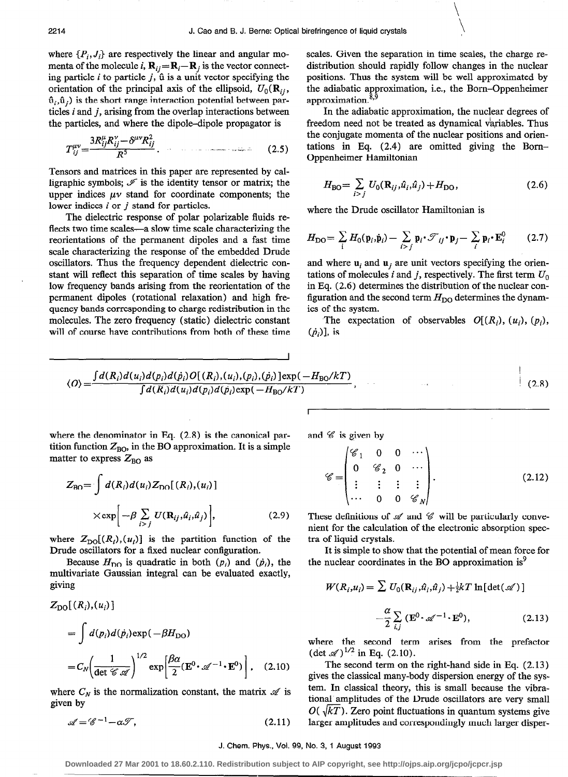where  $\{P_i, J_i\}$  are respectively the linear and angular momenta of the molecule i,  $\mathbf{R}_{ij} = \mathbf{R}_i - \mathbf{R}_j$  is the vector connecting particle  $i$  to particle  $j$ ,  $\hat{u}$  is a unit vector specifying the orientation of the principal axis of the ellipsoid,  $U_0(\mathbf{R}_{ii})$ ,  $\hat{u}_i, \hat{u}_j$ ) is the short range interaction potential between particles  $i$  and  $j$ , arising from the overlap interactions between the particles, and where the dipole-dipole propagator is

$$
T_{ij}^{\mu\nu} = \frac{3R_{ij}^{\mu}R_{ij}^{\nu} - \delta^{\mu\nu}R_{ij}^2}{R^5}.
$$
 (2.5)

Tensors and matrices in this paper are represented by calligraphic symbols;  $\mathcal{I}$  is the identity tensor or matrix; the upper indices  $\mu\nu$  stand for coordinate components; the lower indices  $i$  or  $j$  stand for particles.

The dielectric response of polar polarizable fluids reflects two time scales-a slow time scale characterizing the reorientations of the permanent dipoles and a fast time scale characterizing the response of the embedded Drude oscillators. Thus the frequency dependent dielectric constant will reflect this separation of time scales by having low frequency bands arising from the reorientation of the permanent dipoles (rotational relaxation) and high frequency bands corresponding to charge redistribution in the molecules. The zero frequency (static) dielectric constant will of course have contributions from both of these time scales. Given the separation in time scales, the charge redistribution should rapidly follow changes in the nuclear positions. Thus the system will be well approximated by the adiabatic approximation, i.e., the Born-Oppenheimer approximation.<sup>8,9</sup>

In the adiabatic approximation, the nuclear degrees of freedom need not be treated as dynamical variables. Thus the conjugate momenta of the nuclear positions and orientations in Eq. (2.4) are omitted giving the Bom-Oppenheimer Hamiltonian

$$
H_{\rm BO} = \sum_{i > j} U_0(\mathbf{R}_{ij}, \hat{u}_i, \hat{u}_j) + H_{\rm DO}, \tag{2.6}
$$

where the Drude oscillator Hamiltonian is

$$
H_{\rm DO} = \sum_i H_0(\mathbf{p}_i, \dot{\mathbf{p}}_i) - \sum_{i > j} \mathbf{p}_i \cdot \mathcal{T}_{ij} \cdot \mathbf{p}_j - \sum_i \mathbf{p}_i \cdot \mathbf{E}_i^0 \qquad (2.7)
$$

and where  $\mathbf{u}_i$  and  $\mathbf{u}_j$  are unit vectors specifying the orientations of molecules i and j, respectively. The first term  $U_0$ in Eq. (2.6) determines the distribution of the nuclear configuration and the second term  $H_{\text{DO}}$  determines the dynamics of the system.

The expectation of observables  $O[(R_i), (u_i), (p_i),$  $(\dot{p}_i)$ ], is

$$
\langle O \rangle = \frac{\int d(R_i) d(u_i) d(p_i) d(\dot{p}_i) O[(R_i), (u_i), (p_i), (\dot{p}_i)] \exp(-H_{\text{BO}}/kT)}{\int d(R_i) d(u_i) d(p_i) d(\dot{p}_i) \exp(-H_{\text{BO}}/kT)},
$$
\n(2.8)

where the denominator in Eq.  $(2.8)$  is the canonical partition function  $Z_{BO}$ , in the BO approximation. It is a simple matter to express  $Z_{BO}$  as

$$
Z_{\text{BO}} = \int d(R_i) d(u_i) Z_{\text{DO}}[(R_i), (u_i)]
$$
  
 
$$
\times \exp\left[-\beta \sum_{i > j} U(\mathbf{R}_{ij}, \hat{u}_i, \hat{u}_j)\right],
$$
 (2.9)

where  $Z_{\text{DO}}[(R_i), (u_i)]$  is the partition function of the Drude oscillators for a fixed nuclear configuration.

Because  $H_{\text{DO}}$  is quadratic in both  $(p_i)$  and  $(\dot{p}_i)$ , the multivariate Gaussian integral can be evaluated exactly, giving

$$
Z_{\text{DO}}[(R_i),(u_i)]
$$
  
=  $\int d(p_i)d(\dot{p}_i)\exp(-\beta H_{\text{DO}})$   
=  $C_N \left(\frac{1}{\det \mathcal{C} \mathcal{A}}\right)^{1/2} \exp\left[\frac{\beta \alpha}{2} (\mathbf{E}^0 \cdot \mathcal{A}^{-1} \cdot \mathbf{E}^0)\right],$  (2.10)

where  $C_N$  is the normalization constant, the matrix  $\mathcal A$  is given by

$$
\mathscr{A} = \mathscr{C}^{-1} - \alpha \mathscr{T},\tag{2.11}
$$

and  $\mathscr C$  is given by

$$
\mathscr{C} = \begin{pmatrix} \mathscr{C}_1 & 0 & 0 & \cdots \\ 0 & \mathscr{C}_2 & 0 & \cdots \\ \vdots & \vdots & \vdots & \vdots \\ \cdots & 0 & 0 & \mathscr{C}_N \end{pmatrix} . \tag{2.12}
$$

These definitions of  $\mathscr A$  and  $\mathscr C$  will be particularly convenient for the calculation of the electronic absorption spectra of liquid crystals.

It is simple to show that the potential of mean force for the nuclear coordinates in the BO approximation is $<sup>9</sup>$ </sup>

$$
W(R_i, u_i) = \sum U_0(\mathbf{R}_{ij}, \hat{u}_i, \hat{u}_j) + \frac{1}{2}kT \ln[\det(\mathcal{A})]
$$

$$
-\frac{\alpha}{2} \sum_{i,j} (\mathbf{E}^0 \cdot \mathcal{A}^{-1} \cdot \mathbf{E}^0), \qquad (2.13)
$$

where the second term arises from the prefactor  $(\text{det } x^2)^{1/2}$  in Eq. (2.10).

The second term on the right-hand side in Eq. (2.13) gives the classical many-body dispersion energy of the system. In classical theory, this is small because the vibrational' amplitudes of the Drude oscillators are very small  $O(\sqrt{kT})$ . Zero point fluctuations in quantum systems give larger amplitudes and correspondingly much larger disper-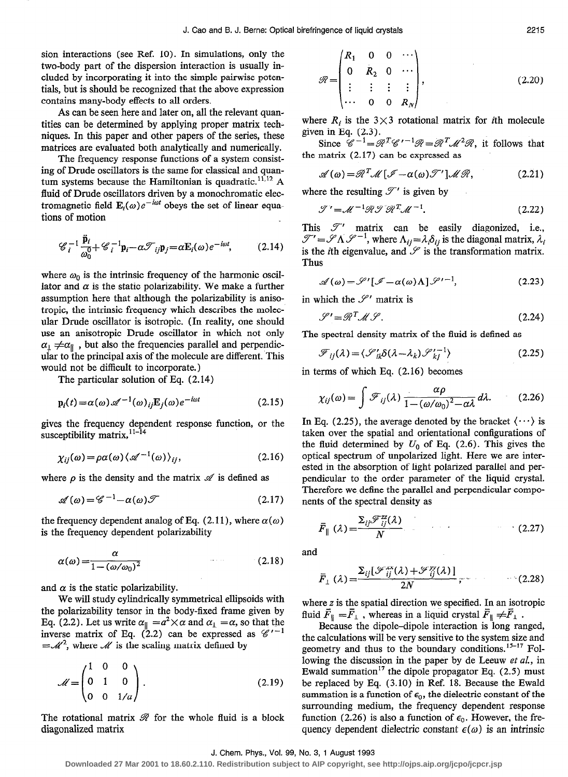sion interactions (see Ref. 10). In simulations, only the two-body part of the dispersion interaction is usually included by incorporating it into the simple pairwise potentials, but is should be recognized that the above expression contains many-body effects to all orders.

As can be seen here and later on, all the relevant quantities can be determined by applying proper matrix techniques. In this paper and other papers of the series, these matrices are evaluated both analytically and numerically.

The frequency response functions of a system consisting of Drude oscillators is the same for classical and quantum systems because the Hamiltonian is quadratic.<sup>11,12</sup> A fluid of Drude oscillators driven by a monochromatic electromagnetic field  $\mathbf{E}_i(\omega)e^{-i\omega t}$  obeys the set of linear equations of motion

$$
\mathscr{C}_i^{-1} \frac{\ddot{\mathbf{p}}_i}{\omega_0^0} + \mathscr{C}_i^{-1} \mathbf{p}_i - \alpha \mathscr{T}_{ij} \mathbf{p}_j = \alpha \mathbf{E}_i(\omega) e^{-i\omega t}, \qquad (2.14)
$$

where  $\omega_0$  is the intrinsic frequency of the harmonic oscillator and  $\alpha$  is the static polarizability. We make a further assumption here that although the polarizability is anisatropic, the intrinsic frequency which describes the molecular Drude oscillator is isotropic. (In reality, one should use an anisotropic Drude oscillator in which not only  $\alpha_1 \neq \alpha_{\parallel}$ , but also the frequencies parallel and perpendicular to the principal axis of the molecule are different. This would not be difficult to incorporate.)

The particular solution of Eq. (2.14)

$$
\mathbf{p}_i(t) = \alpha(\omega) \mathscr{A}^{-1}(\omega)_{ij} \mathbf{E}_j(\omega) e^{-i\omega t}
$$
 (2.15)

gives the frequency dependent response function, or the susceptibility matrix,  $11-14$ 

$$
\chi_{ij}(\omega) = \rho \alpha(\omega) \langle \mathscr{A}^{-1}(\omega) \rangle_{ij}, \tag{2.16}
$$

where  $\rho$  is the density and the matrix  $\mathscr A$  is defined as

$$
\mathscr{A}(\omega) = \mathscr{C}^{-1} - \alpha(\omega)\mathscr{T} \tag{2.17}
$$

the frequency dependent analog of Eq. (2.11), where  $\alpha(\omega)$ is the frequency dependent polarizability

$$
\alpha(\omega) = \frac{\alpha}{1 - (\omega/\omega_0)^2} \tag{2.18}
$$

and  $\alpha$  is the static polarizability.

We will study cylindrically symmetrical ellipsoids with the polarizability tensor in the body-fixed frame given by Eq. (2.2). Let us write  $\alpha_{\parallel} = a^2 \times a$  and  $\alpha_{\perp} = \alpha$ , so that the inverse matrix of Eq. (2.2) can be expressed as  $\mathscr{C}'^{-1}$  $=\mathcal{M}^2$ , where  $\mathcal M$  is the scaling matrix defined by

$$
\mathcal{M} = \begin{pmatrix} 1 & 0 & 0 \\ 0 & 1 & 0 \\ 0 & 0 & 1/a \end{pmatrix} .
$$
 (2.19)

The rotational matrix  $\mathcal{R}$  for the whole fluid is a block diagonalized matrix

$$
\mathscr{R} = \begin{pmatrix} R_1 & 0 & 0 & \cdots \\ 0 & R_2 & 0 & \cdots \\ \vdots & \vdots & \vdots & \vdots \\ \cdots & 0 & 0 & R_N \end{pmatrix},
$$
 (2.20)

where  $R_i$  is the 3×3 rotational matrix for *i*th molecule given in Eq. (2.3).

Since  $\mathscr{C}^{-1} = \mathscr{R}^T \mathscr{C}'^{-1} \mathscr{R} = \mathscr{R}^T \mathscr{M}^2 \mathscr{R}$ , it follows that the matrix (2.17) can be expressed as

$$
\mathscr{A}(\omega) = \mathscr{R}^T \mathscr{M} \left[ \mathscr{I} - \alpha(\omega) \mathscr{T}' \right] \mathscr{M} \mathscr{R}, \tag{2.21}
$$

where the resulting  $\mathscr{T}'$  is given by

$$
\mathcal{T}' = \mathcal{M}^{-1} \mathcal{R} \mathcal{T} \mathcal{R}^T \mathcal{M}^{-1}.
$$
 (2.22)

This  $\mathcal{T}'$  matrix can be easily diagonized, i.e.,  $\mathscr{T}' = \mathscr{S}\Lambda \mathscr{S}^{-1}$ , where  $\Lambda_{ij} = \lambda_i \delta_{ij}$  is the diagonal matrix,  $\lambda_i$ is the *i*th eigenvalue, and  $\mathscr S$  is the transformation matrix. Thus

$$
\mathscr{A}(\omega) = \mathscr{S}'[\mathscr{I} - \alpha(\omega)\Lambda]\mathscr{S}'^{-1},\tag{2.23}
$$

in which the  $\mathscr{S}'$  matrix is

$$
\mathcal{S}' = \mathcal{R}^T \mathcal{M} \mathcal{S}. \tag{2.24}
$$

The spectral density matrix of the fluid is defined as

$$
\mathcal{F}_{ij}(\lambda) = \langle \mathcal{S}'_{ik}\delta(\lambda - \lambda_k)\mathcal{S}'_{kj}^{-1} \rangle \tag{2.25}
$$

in terms of which Eq. (2.16) becomes

$$
\chi_{ij}(\omega) = \int \mathcal{F}_{ij}(\lambda) \frac{\alpha \rho}{1 - (\omega/\omega_0)^2 - \alpha \lambda} d\lambda. \tag{2.26}
$$

In Eq. (2.25), the average denoted by the bracket  $\langle \cdots \rangle$  is taken over the spatial and orientational configurations of the fluid determined by  $U_0$  of Eq. (2.6). This gives the optical spectrum of unpolarized light. Here we are interested in the absorption of light polarized parallel and perpendicular to the order parameter of the liquid crystal. Therefore we define the parallel and perpendicular components of the spectral density as

$$
\bar{F}_{\parallel}(\lambda) = \frac{\sum_{ij} \mathcal{F}_{ij}^{zz}(\lambda)}{N} \tag{2.27}
$$

and

$$
\bar{F}_{\perp}(\lambda) = \frac{\Sigma_{ij}[\mathcal{F}_{ij}^{xx}(\lambda) + \mathcal{F}_{ij}^{yy}(\lambda)]}{2N},
$$
 (2.28)

where z is the spatial direction we specified. In an isotropic fluid  $\bar{F}_{\parallel} = \bar{F}_{\perp}$ , whereas in a liquid crystal  $\bar{F}_{\parallel} \neq \bar{F}_{\perp}$ .

Because the dipole-dipole interaction is long ranged, the calculations will be very sensitive to the system size and geometry and thus to the boundary conditions.<sup>15-17</sup> Following the discussion in the paper by de Leeuw et al., in Ewald summation<sup>17</sup> the dipole propagator Eq.  $(2.5)$  must be replaced by Eq. (3.10) in Ref. 18. Because the Ewald summation is a function of  $\epsilon_0$ , the dielectric constant of the surrounding medium, the frequency dependent response function (2.26) is also a function of  $\epsilon_0$ . However, the frequency dependent dielectric constant  $\epsilon(\omega)$  is an intrinsic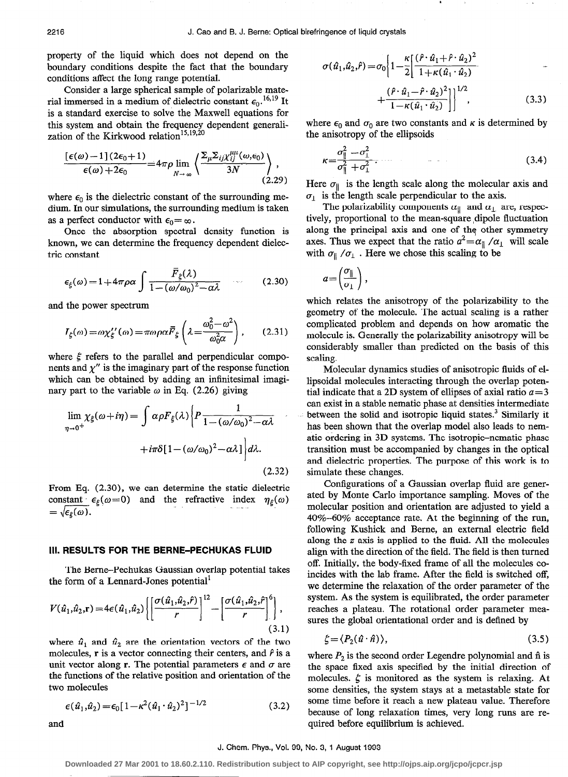property of the liquid which does not depend on the boundary conditions despite the fact that the boundary conditions affect the long range potential.

Consider a large spherical sample of polarizable material immersed in a medium of dielectric constant  $\epsilon_0$ .<sup>16,19</sup> It is a standard exercise to solve the Maxwell equations for this system and obtain the frequency dependent generalization of the Kirkwood relation<sup>15,19,20</sup>

$$
\frac{\left[\epsilon(\omega)-1\right](2\epsilon_0+1)}{\epsilon(\omega)+2\epsilon_0} = 4\pi\rho \lim_{N\to\infty} \left\langle \frac{\Sigma_{\mu}\Sigma_{ij}\chi_{ij}^{\mu\mu}(\omega,\epsilon_0)}{3N} \right\rangle, \tag{2.29}
$$

where  $\epsilon_0$  is the dielectric constant of the surrounding medium. In our simulations, the surrounding medium is taken as a perfect conductor with  $\epsilon_0 = \infty$ .

Once the absorption spectral density function is known, we can determine the frequency dependent dielectric constant

$$
\epsilon_{\xi}(\omega) = 1 + 4\pi \rho \alpha \int \frac{\overline{F}_{\xi}(\lambda)}{1 - (\omega/\omega_0)^2 - \alpha \lambda} \qquad (2.30)
$$

and the power spectrum

$$
I_{\xi}(\omega) = \omega \chi_{\xi}^{\prime\prime}(\omega) = \pi \omega \rho \alpha \bar{F}_{\xi} \left( \lambda = \frac{\omega_0^2 - \omega^2}{\omega_0^2 \alpha} \right), \qquad (2.31)
$$

where  $\xi$  refers to the parallel and perpendicular components and  $\chi''$  is the imaginary part of the response function which can be obtained by adding an infinitesimal imaginary part to the variable  $\omega$  in Eq. (2.26) giving

$$
\lim_{\eta \to 0^{+}} \chi_{\xi}(\omega + i\eta) = \int \alpha \rho F_{\xi}(\lambda) \left\{ P \frac{1}{1 - (\omega/\omega_0)^2 - \alpha \lambda} + i\pi \delta [1 - (\omega/\omega_0)^2 - \alpha \lambda] \right\} d\lambda.
$$
\n(2.32)

From Eq. (2.30), we can determine the static dielectric constant  $\epsilon_{\xi}(\omega=0)$  and the refractive index  $\eta_{\xi}(\omega)$  $=\sqrt{\epsilon_{\varepsilon}(\omega)}$ .

### III. RESULTS FOR THE BERNE-PECHUKAS FLUID

The Bernc-Pechukas Gaussian overlap potential takes the form of a Lennard-Jones potential'

$$
V(\hat{u}_1, \hat{u}_2, \mathbf{r}) = 4\epsilon(\hat{u}_1, \hat{u}_2) \left\{ \left[ \frac{\sigma(\hat{u}_1, \hat{u}_2, \hat{r})}{r} \right]^{12} - \left[ \frac{\sigma(\hat{u}_1, \hat{u}_2, \hat{r})}{r} \right]^6 \right\},\tag{3.1}
$$

where  $\hat{u}_1$  and  $\hat{u}_2$  are the orientation vectors of the two molecules,  $\bf{r}$  is a vector connecting their centers, and  $\hat{\bf{r}}$  is a unit vector along r. The potential parameters  $\epsilon$  and  $\sigma$  are the functions of the relative position and orientation of the two molecules

$$
\epsilon(\hat{u}_1, \hat{u}_2) = \epsilon_0 [1 - \kappa^2 (\hat{u}_1 \cdot \hat{u}_2)^2]^{-1/2}
$$
\n(3.2)

$$
\quad \text{and} \quad
$$

$$
\sigma(\hat{u}_1, \hat{u}_2, \hat{r}) = \sigma_0 \left\{ 1 - \frac{\kappa}{2} \left[ \frac{(\hat{r} \cdot \hat{u}_1 + \hat{r} \cdot \hat{u}_2)^2}{1 + \kappa (\hat{u}_1 \cdot \hat{u}_2)} + \frac{(\hat{r} \cdot \hat{u}_1 - \hat{r} \cdot \hat{u}_2)^2}{1 - \kappa (\hat{u}_1 \cdot \hat{u}_2)} \right] \right\}^{1/2},
$$
\n(3.3)

where  $\epsilon_0$  and  $\sigma_0$  are two constants and  $\kappa$  is determined by the anisotropy of the ellipsoids

$$
\kappa = \frac{\sigma_{\parallel}^2 - \sigma_{\perp}^2}{\sigma_{\parallel}^2 + \sigma_{\perp}^2} \tag{3.4}
$$

Here  $\sigma_{\parallel}$  is the length scale along the molecular axis and  $\sigma_1$  is the length scale perpendicular to the axis.

The polarizability components  $\alpha_{\parallel}$  and  $\alpha_{\perp}$  are, respectively, proportional to the mean-square ,dipole fluctuation along the principal axis and one of the other symmetry axes. Thus we expect that the ratio  $a^2 = \alpha_{\parallel} / \alpha_1$  will scale with  $\sigma_{\parallel}$  / $\sigma_{\perp}$ . Here we chose this scaling to be

$$
a = \left(\frac{\sigma_{\parallel}}{\sigma_{\perp}}\right),
$$

which relates the anisotropy of the polarizability to the geometry of the molecule. The actual scaling is a rather complicated problem and depends on how aromatic the molecule is. Generally the polarizability anisotropy will be considerably smaller than predicted on the basis of this scaling.

Molecular dynamics studies of anisotropic fluids of ellipsoidal molecules interacting through the overlap potential indicate that a 2D system of ellipses of axial ratio  $a = 3$ can exist in a stable nematic phase at densities intermediate between the solid and isotropic liquid states.<sup>3</sup> Similarly it has been shown that the overlap model also leads to nematic ordering in 3D systems. The isotropic-nematic phase transition must be accompanied by changes in the optical and dielectric properties. The purpose of this work is to simulate these changes.

Configurations of a Gaussian overlap fluid are generated by Monte Carlo importance sampling. Moves of the molecular position and orientation are adjusted to yield a 40%-60% acceptance rate. At the beginning of the run, following Kushick and Berne, an external electric field along the z axis is applied to the fluid. All the molecules align with the direction of the field. The field is then turned off. Initially, the body-fixed frame of all the molecules coincides with the lab frame. After the field is switched off, we determine the relaxation of the order parameter of the system. As the system is equilibrated, the order parameter reaches a plateau. The rotational order parameter measures the global orientational order and is defined by

$$
\zeta = \langle P_2(\hat{u} \cdot \hat{n}) \rangle, \tag{3.5}
$$

where  $P_2$  is the second order Legendre polynomial and  $\hat{n}$  is the space fixed axis specified by the initial direction of molecules.  $\zeta$  is monitored as the system is relaxing. At some densities, the system stays at a metastable state for some time before it reach a new plateau value. Therefore because of long relaxation times, very long runs are required before equilibrium is achieved.

#### J. Chem. Phys., Vol. 99, No. 3, 1 August 1993

**Downloaded 27 Mar 2001 to 18.60.2.110. Redistribution subject to AIP copyright, see http://ojps.aip.org/jcpo/jcpcr.jsp**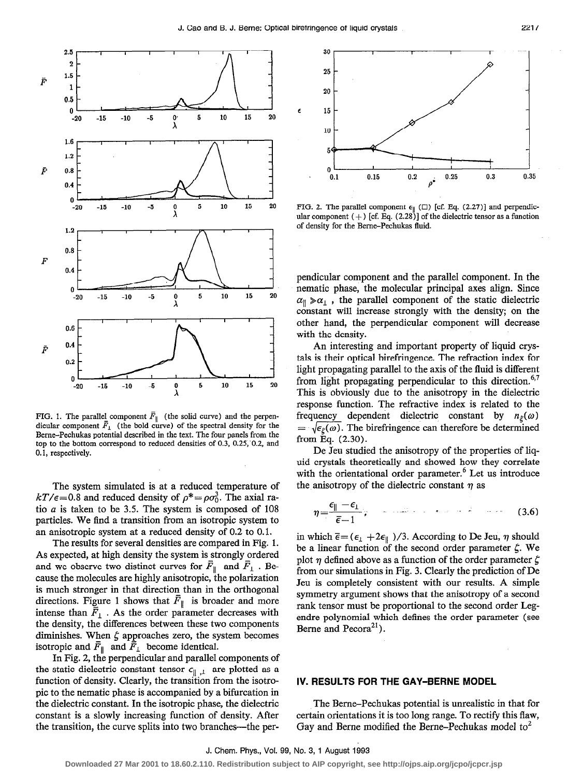

FIG. 1. The parallel component  $\overline{F}_{\parallel}$  (the solid curve) and the perpendicular component  $\bar{F}_1$  (the bold curve) of the spectral density for the Beme-Pechukas potential described in the text. The four panels from the top to the bottom correspond to reduced densities of 0.3, 0.25, 0.2, and 0.1, respectively.

The system simulated is at a reduced temperature of  $kT/\epsilon$ =0.8 and reduced density of  $\rho^* = \rho \sigma_0^3$ . The axial ratio  $a$  is taken to be 3.5. The system is composed of 108 particles. We find a transition from an isotropic system to an anisotropic system at a reduced density of 0.2 to 0.1.

The results for several densities are compared in Fig. 1. As expected, at high density the system is strongly ordered and we observe two distinct curves for  $\overline{F}_{\parallel}$  and  $\overline{F}_{\perp}$ . Because the molecules are highly anisotropic, the polarization is much stronger in that direction than in the orthogonal directions. Figure 1 shows that  $\overline{F}_{\parallel}$  is broader and more intense than  $\bar{F}_1$ . As the order parameter decreases with the density, the differences between these two components diminishes. When  $\zeta$  approaches zero, the system becomes isotropic and  $\bar{F}_{\parallel}$  and  $\bar{F}_{\perp}$  become identical.

In Fig. 2, the perpendicular and parallel components of the static dielectric constant tensor  $\epsilon_{\parallel}$ , are plotted as a function of density. Clearly, the transition from the isotropic to the nematic phase is accompanied by a bifurcation in the dielectric constant. In the isotropic phase, the dielectric constant is a slowly increasing function of density. After the transition, the curve splits into two branches—the per-



FIG. 2. The parallel component  $\epsilon_{\parallel}$  ( $\square$ ) [cf. Eq. (2.27)] and perpendicular component  $(+)$  [cf. Eq.  $(2.28)$ ] of the dielectric tensor as a function of density for the Berne-Pechukas fluid.

pendicular component and the parallel component. In the nematic phase, the molecular principal axes align. Since  $\alpha_{\parallel} \gg \alpha_{\perp}$ , the parallel component of the static dielectric constant will increase strongly with the density; on the other hand, the perpendicular component will decrease with the density.

An interesting and important property of liquid crystals is their optical birefringence. The refraction index for light propagating parallel to the axis of the fluid is different from light propagating perpendicular to this direction.<sup>6,7</sup> This is obviously due to the anisotropy in the dielectric response function. The refractive index is related to the frequency dependent dielectric constant by  $n_{\xi}(\omega)$  $=\sqrt{\epsilon_{\xi}(\omega)}$ . The birefringence can therefore be determined from Eq. (2.30).

De Jeu studied the anisotropy of the properties of liquid crystals theoretically and showed how they correlate with the orientational order parameter.<sup>6</sup> Let us introduce the anisotropy of the dielectric constant  $\eta$  as

$$
\eta = \frac{\epsilon_{\parallel} - \epsilon_1}{\bar{\epsilon} - 1}; \qquad \text{and} \qquad \text{and} \qquad (3.6)
$$

in which  $\bar{\epsilon} = (\epsilon_1 + 2\epsilon_1)/3$ . According to De Jeu,  $\eta$  should be a linear function of the second order parameter  $\zeta$ . We plot  $\eta$  defined above as a function of the order parameter  $\zeta$ from our simulations in Fig. 3. Clearly the prediction of De Jeu is completely consistent with our results. A simple symmetry argument shows that the anisotropy of a second rank tensor must be proportional to the second order Legendre polynomial which defines the order parameter (see Berne and Pecora<sup>21</sup>).

## IV. RESULTS FOR THE GAY-BERNE MODEL

The Berne-Pechukas potential is unrealistic in that for certain orientations it is too long range. To rectify this flaw, Gay and Berne modified the Berne-Pechukas model to<sup>2</sup>

J. Chem. Phys., Vol. 99, No. 3, 1 August 1993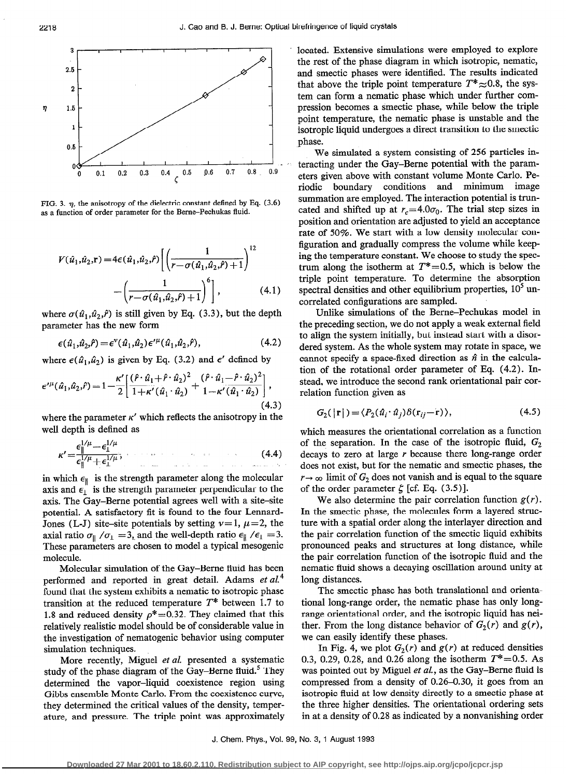

FIG. 3.  $\eta$ , the anisotropy of the dielectric constant defined by Eq. (3.6) as a function of order parameter for the Berne-Pechukas fluid.

$$
V(\hat{u}_1, \hat{u}_2, \mathbf{r}) = 4\epsilon(\hat{u}_1, \hat{u}_2, \hat{r}) \left[ \left( \frac{1}{r - \sigma(\hat{u}_1, \hat{u}_2, \hat{r}) + 1} \right)^{12} - \left( \frac{1}{r - \sigma(\hat{u}_1, \hat{u}_2, \hat{r}) + 1} \right)^{6} \right],
$$
 (4.1)

where  $\sigma(\hat{u}_1,\hat{u}_2,\hat{r})$  is still given by Eq. (3.3), but the depth parameter has the new form

$$
\epsilon(\hat{u}_1, \hat{u}_2, \hat{r}) = \epsilon^{\nu}(\hat{u}_1, \hat{u}_2) \epsilon^{\prime \mu}(\hat{u}_1, \hat{u}_2, \hat{r}), \tag{4.2}
$$

where  $\epsilon(\hat{u}_1, \hat{u}_2)$  is given by Eq. (3.2) and  $\epsilon'$  defined by

$$
\epsilon^{\prime \mu}(\hat{u}_1, \hat{u}_2, \hat{r}) = 1 - \frac{\kappa^{\prime}}{2} \left[ \frac{(\hat{r} \cdot \hat{u}_1 + \hat{r} \cdot \hat{u}_2)^2}{1 + \kappa^{\prime}(\hat{u}_1 \cdot \hat{u}_2)} + \frac{(\hat{r} \cdot \hat{u}_1 - \hat{r} \cdot \hat{u}_2)^2}{1 - \kappa^{\prime}(\hat{u}_1 \cdot \hat{u}_2)} \right],
$$
\n(4.3)

where the parameter  $\kappa'$  which reflects the anisotropy in the well depth is defined as

$$
\kappa' = \frac{\epsilon_{\parallel}^{1/\mu} - \epsilon_{\perp}^{1/\mu}}{\epsilon_{\parallel}^{1/\mu} + \epsilon_{\perp}^{1/\mu}},\tag{4.4}
$$

in which  $\epsilon_{\parallel}$  is the strength parameter along the molecular axis and  $\epsilon_1$  is the strength parameter perpendicular to the axis. The Gay-Berne potential agrees well with a site-site potential. A satisfactory fit is found to the four Lennard-Jones (L-J) site-site potentials by setting  $\nu = 1, \mu = 2$ , the axial ratio  $\sigma_{\parallel}$  / $\sigma_{\perp}$  = 3, and the well-depth ratio  $\epsilon_{\parallel}$  / $\epsilon_{\perp}$  = 3. These parameters are chosen to model a typical mesogenic molecule.

Molecular simulation of the Gay-Berne fluid has been performed and reported in great detail. Adams et  $aL<sup>4</sup>$ found that the system exhibits a nematic to isotropic phase transition at the reduced temperature  $T^*$  between 1.7 to 1.8 and reduced density  $\rho^* = 0.32$ . They claimed that this relatively realistic model should be of considerable value in the investigation of nematogenic behavior using computer simulation techniques.

More recently, Miguel et al. presented a systematic study of the phase diagram of the Gay-Berne fluid.<sup>5</sup> They determined the vapor-liquid coexistence region using Gibbs ensemble Monte Carlo. From the coexistence curve, they determined the critical values of the density, temperature, and pressure. The triple point was approximately located. Extensive simulations were employed to explore the rest of the phase diagram in which isotropic, nematic, and smectic phases were identified. The results indicated that above the triple point temperature  $T^* \approx 0.8$ , the system can form a nematic phase which under further compression becomes a smectic phase, while below the triple point temperature, the nematic phase is unstable and the isotropic liquid undergoes a direct transition to the smectic ~phase.

We simulated a system consisting of 256 particles interacting under the Gay-Berne potential with the parameters given above with constant volume Monte Carlo. Periodic boundary conditions and minimum image summation are employed. The interaction potential is truncated and shifted up at  $r_c=4.0\sigma_0$ . The trial step sizes in position and orientation are adjusted to yield an acceptance rate of 50%. We start with a low density molecular configuration and gradually compress the volume while keeping the temperature constant. We choose to study the spectrum along the isotherm at  $T^* = 0.5$ , which is below the triple point temperature. To determine the absorption spectral densities and other equilibrium properties,  $10<sup>5</sup>$  uncorrelated configurations are sampled.

Unlike simulations of the Berne-Pechukas model in the preceding section, we do not apply a weak external field to align the system initially, but instead start with a disordered system. As the whole system may rotate in space, we cannot specify a space-fixed direction as  $\hat{n}$  in the calculation of the rotational order parameter of Eq. (4.2). Instead, we introduce the second rank orientational pair correlation function given as

$$
G_2(\left|\mathbf{r}\right|) = \langle P_2(\hat{u}_i \cdot \hat{u}_j) \delta(\mathbf{r}_{ij} - \mathbf{r}) \rangle, \tag{4.5}
$$

which measures the orientational correlation as a function of the separation. In the case of the isotropic fluid,  $G_2$ decays to zero at large  $r$  because there long-range order does not exist, but for the nematic and smectic phases, the  $r \rightarrow \infty$  limit of  $G_2$  does not vanish and is equal to the square of the order parameter  $\zeta$  [cf. Eq. (3.5)].

We also determine the pair correlation function  $g(r)$ . In the smectic phase, the molecules form a layered structure with a spatial order along the interlayer direction and the pair correlation function of the smectic liquid exhibits pronounced peaks and structures at long distance, while the pair correlation function of the isotropic fluid and the nematic fluid shows a decaying oscillation around unity at long distances.

The smectic phase has both translational and orientational long-range order, the nematic phase has only longrange orientational order, and the isotropic liquid has neither. From the long distance behavior of  $G_2(r)$  and  $g(r)$ , we can easily identify these phases.

In Fig. 4, we plot  $G_2(r)$  and  $g(r)$  at reduced densities 0.3, 0.29, 0.28, and 0.26 along the isotherm  $T^* = 0.5$ . As was pointed out by Miguel et al., as the Gay-Berne fluid is compressed from a density of 0.26-0.30, it goes from an isotropic fluid at low density directly to a smectic phase at the three higher densities. The orientational ordering sets in at a density of 0.28 as indicated by a nonvanishing order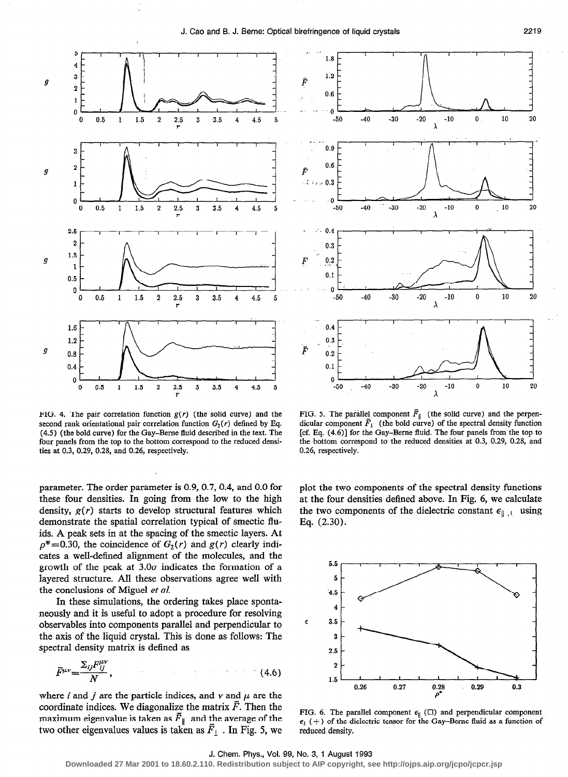

FIG. 4. The pair correlation function  $g(r)$  (the solid curve) and the FIG. 5. The parallel component  $\overline{F}_{\parallel}$  (the solid curve) and the perpensecond rank orientational pair correlation function  $G_2(r)$  defined by Eq. d second rank orientational pair correlation function  $G_2(r)$  defined by Eq. (4.5) (the bold curve) for the Gay–Berne fluid described in the text. The four panels from the top to the bottom correspond to the reduced densities at 0.3, 0.29, 0.28, and 0.26, respectively. 0.26, respectively. ties at 0.3, 0.29, 0.28, and 0.26, respectively.

parameter. The order parameter is 0.9, 0.7, 0.4, and 0.0 for these four densities. In going from the low to the high density,  $g(r)$  starts to develop structural features which demonstrate the spatial correlation typical of smectic fluids. A peak sets in at the spacing of the smectic layers. At  $\rho^*$ =0.30, the coincidence of  $G_2(r)$  and  $g(r)$  clearly indicates a well-defined alignment of the molecules, and the growth of the peak at  $3.0\sigma$  indicates the formation of a layered structure. All these observations agree well with the conclusions of Miguel et al.

In these simulations, the ordering takes place spontaneously and it is useful to adopt a procedure for resolving observables into components parallel and perpendicular to the axis of the liquid crystal. This is done as follows: The spectral density matrix is defined as

$$
\bar{F}^{\mu\nu} = \frac{\Sigma_{ij} F^{\mu\nu}_{ij}}{N},\tag{4.6}
$$

where i and j are the particle indices, and  $\nu$  and  $\mu$  are the coordinate indices. We diagonalize the matrix  $\bar{F}$ . Then the maximum eigenvalue is taken as  $\bar{F}_{\parallel}$  and the average of the two other eigenvalues values is taken as  $\bar{F}_1$ . In Fig. 5, we



[cf. Eq.  $(4.6)$ ] for the Gay-Berne fluid. The four panels from the top to the bottom correspond to the reduced densities at 0.3, 0.29, 0.28, and

plot the two components of the spectral density functions at the four densities defined above. In Fig. 6, we calculate the two components of the dielectric constant  $\epsilon_{\parallel}$ , using Eq. (2.30).



FIG. 6. The parallel component  $\epsilon_{\parallel}$  ( $\square$ ) and perpendicular component  $\epsilon_1$  (+) of the dielectric tensor for the Gay-Berne fluid as a function of reduced density.

#### J. Chem. Phys., Vol. 99, No. 3, 1 August 1993

**Downloaded 27 Mar 2001 to 18.60.2.110. Redistribution subject to AIP copyright, see http://ojps.aip.org/jcpo/jcpcr.jsp**